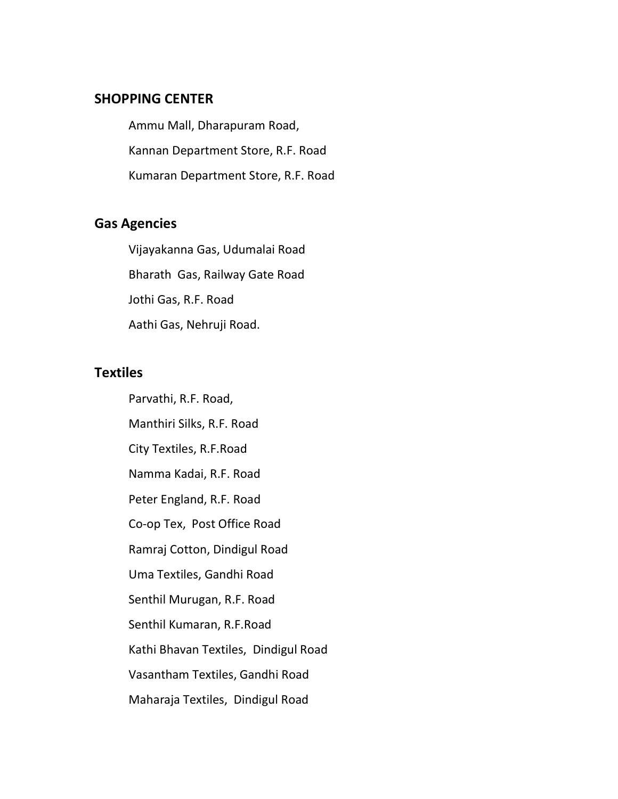## SHOPPING CENTER

Ammu Mall, Dharapuram Road, Kannan Department Store, R.F. Road Kumaran Department Store, R.F. Road

## Gas Agencies

Vijayakanna Gas, Udumalai Road Bharath Gas, Railway Gate Road Jothi Gas, R.F. Road Aathi Gas, Nehruji Road.

## **Textiles**

Parvathi, R.F. Road, Manthiri Silks, R.F. Road City Textiles, R.F.Road Namma Kadai, R.F. Road Peter England, R.F. Road Co-op Tex, Post Office Road Ramraj Cotton, Dindigul Road Uma Textiles, Gandhi Road Senthil Murugan, R.F. Road Senthil Kumaran, R.F.Road Kathi Bhavan Textiles, Dindigul Road Vasantham Textiles, Gandhi Road Maharaja Textiles, Dindigul Road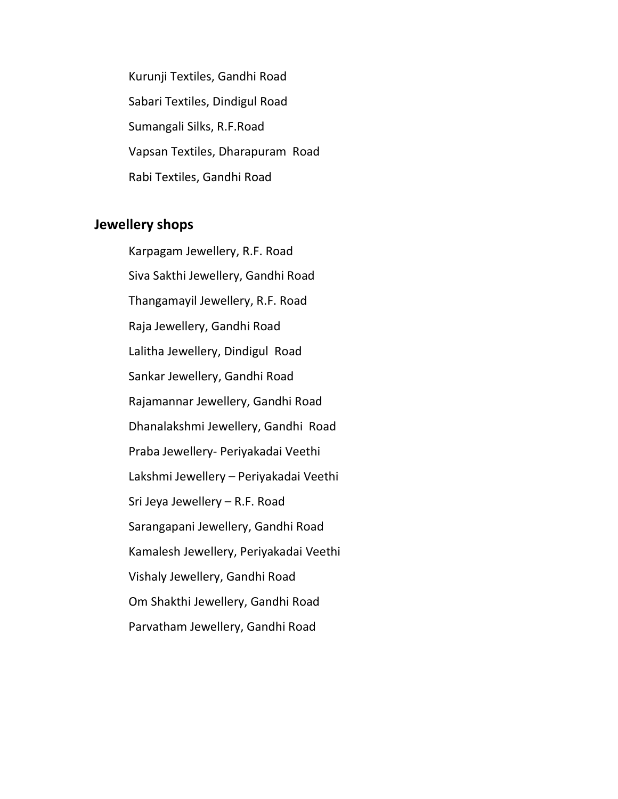Kurunji Textiles, Gandhi Road Sabari Textiles, Dindigul Road Sumangali Silks, R.F.Road Vapsan Textiles, Dharapuram Road Rabi Textiles, Gandhi Road

## Jewellery shops

Karpagam Jewellery, R.F. Road Siva Sakthi Jewellery, Gandhi Road Thangamayil Jewellery, R.F. Road Raja Jewellery, Gandhi Road Lalitha Jewellery, Dindigul Road Sankar Jewellery, Gandhi Road Rajamannar Jewellery, Gandhi Road Dhanalakshmi Jewellery, Gandhi Road Praba Jewellery- Periyakadai Veethi Lakshmi Jewellery – Periyakadai Veethi Sri Jeya Jewellery – R.F. Road Sarangapani Jewellery, Gandhi Road Kamalesh Jewellery, Periyakadai Veethi Vishaly Jewellery, Gandhi Road Om Shakthi Jewellery, Gandhi Road Parvatham Jewellery, Gandhi Road